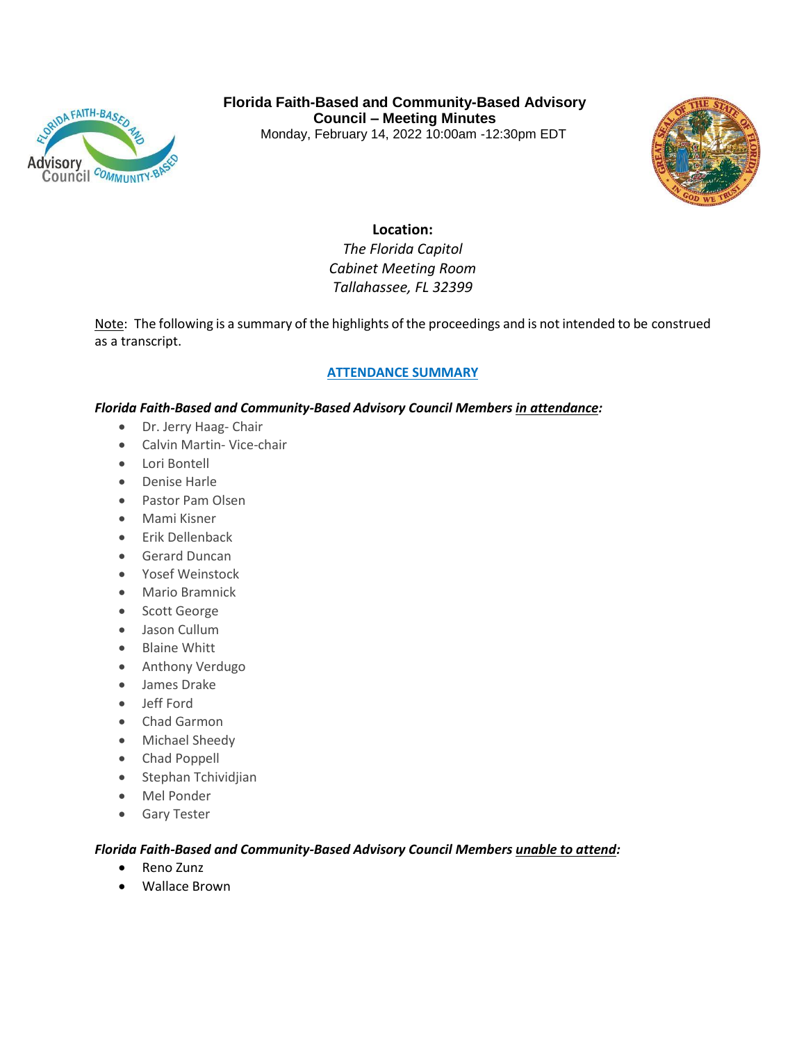

**Florida Faith-Based and Community-Based Advisory Council – Meeting Minutes**  Monday, February 14, 2022 10:00am -12:30pm EDT



# **Location:**

*The Florida Capitol Cabinet Meeting Room Tallahassee, FL 32399*

Note: The following is a summary of the highlights of the proceedings and is not intended to be construed as a transcript.

# **ATTENDANCE SUMMARY**

## *Florida Faith-Based and Community-Based Advisory Council Members in attendance:*

- Dr. Jerry Haag- Chair
- Calvin Martin- Vice-chair
- Lori Bontell
- Denise Harle
- Pastor Pam Olsen
- Mami Kisner
- Erik Dellenback
- **Gerard Duncan**
- Yosef Weinstock
- Mario Bramnick
- Scott George
- Jason Cullum
- Blaine Whitt
- **•** Anthony Verdugo
- James Drake
- Jeff Ford
- Chad Garmon
- Michael Sheedy
- Chad Poppell
- Stephan Tchividjian
- Mel Ponder
- **Gary Tester**

#### *Florida Faith-Based and Community-Based Advisory Council Members unable to attend:*

- Reno Zunz
- Wallace Brown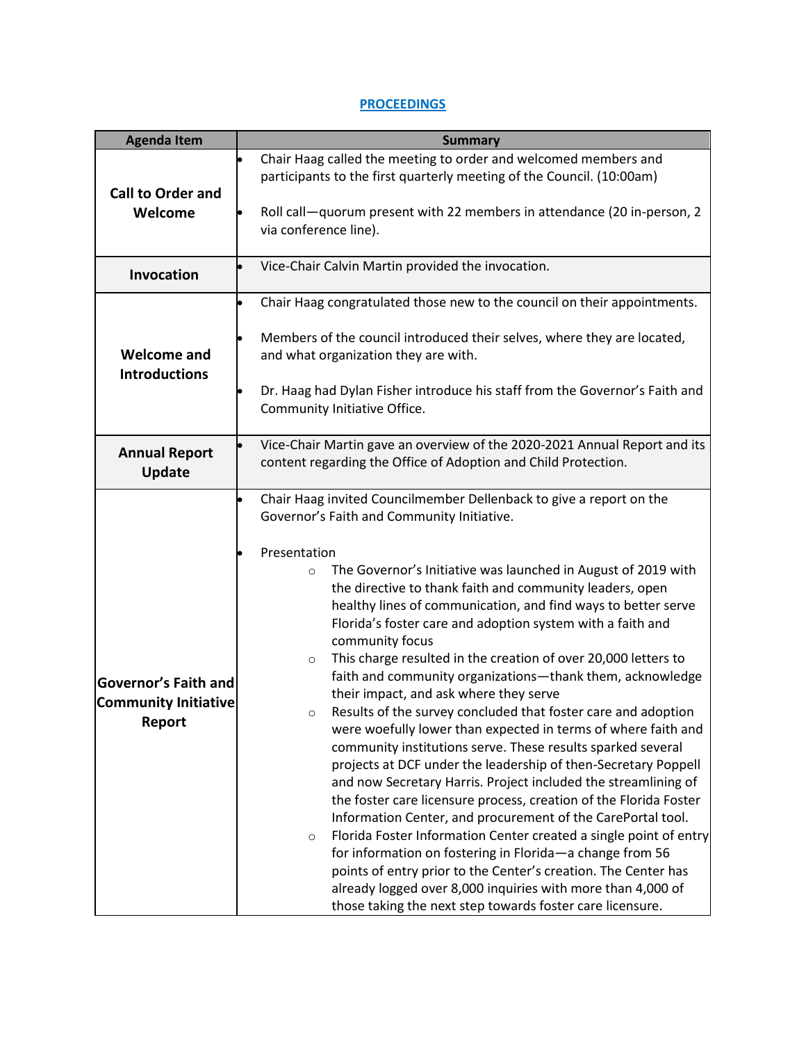# **PROCEEDINGS**

| <b>Agenda Item</b>                         | <b>Summary</b>                                                                                                                              |
|--------------------------------------------|---------------------------------------------------------------------------------------------------------------------------------------------|
|                                            | Chair Haag called the meeting to order and welcomed members and                                                                             |
|                                            | participants to the first quarterly meeting of the Council. (10:00am)                                                                       |
| <b>Call to Order and</b><br>Welcome        | Roll call-quorum present with 22 members in attendance (20 in-person, 2<br>via conference line).                                            |
| <b>Invocation</b>                          | Vice-Chair Calvin Martin provided the invocation.                                                                                           |
|                                            | Chair Haag congratulated those new to the council on their appointments.                                                                    |
|                                            | Members of the council introduced their selves, where they are located,                                                                     |
| <b>Welcome and</b><br><b>Introductions</b> | and what organization they are with.                                                                                                        |
|                                            | Dr. Haag had Dylan Fisher introduce his staff from the Governor's Faith and                                                                 |
|                                            | Community Initiative Office.                                                                                                                |
| <b>Annual Report</b><br><b>Update</b>      | Vice-Chair Martin gave an overview of the 2020-2021 Annual Report and its<br>content regarding the Office of Adoption and Child Protection. |
|                                            | Chair Haag invited Councilmember Dellenback to give a report on the                                                                         |
|                                            | Governor's Faith and Community Initiative.                                                                                                  |
|                                            | Presentation                                                                                                                                |
|                                            | The Governor's Initiative was launched in August of 2019 with<br>$\circ$                                                                    |
|                                            | the directive to thank faith and community leaders, open                                                                                    |
|                                            | healthy lines of communication, and find ways to better serve<br>Florida's foster care and adoption system with a faith and                 |
|                                            | community focus                                                                                                                             |
|                                            | This charge resulted in the creation of over 20,000 letters to<br>$\circ$                                                                   |
| <b>Governor's Faith and</b>                | faith and community organizations-thank them, acknowledge                                                                                   |
| <b>Community Initiative</b>                | their impact, and ask where they serve<br>Results of the survey concluded that foster care and adoption<br>$\circ$                          |
| Report                                     | were woefully lower than expected in terms of where faith and                                                                               |
|                                            | community institutions serve. These results sparked several                                                                                 |
|                                            | projects at DCF under the leadership of then-Secretary Poppell                                                                              |
|                                            | and now Secretary Harris. Project included the streamlining of<br>the foster care licensure process, creation of the Florida Foster         |
|                                            | Information Center, and procurement of the CarePortal tool.                                                                                 |
|                                            | Florida Foster Information Center created a single point of entry<br>$\circ$                                                                |
|                                            | for information on fostering in Florida-a change from 56                                                                                    |
|                                            | points of entry prior to the Center's creation. The Center has                                                                              |
|                                            | already logged over 8,000 inquiries with more than 4,000 of<br>those taking the next step towards foster care licensure.                    |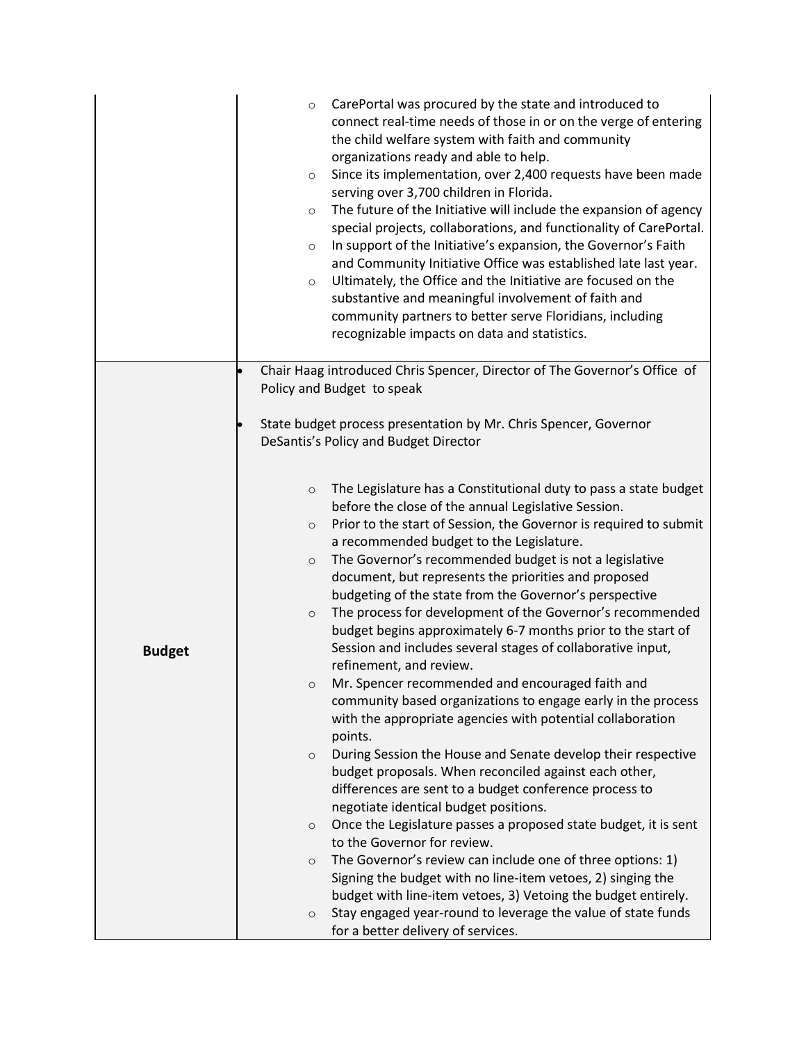|               | CarePortal was procured by the state and introduced to<br>$\circ$<br>connect real-time needs of those in or on the verge of entering<br>the child welfare system with faith and community<br>organizations ready and able to help.<br>Since its implementation, over 2,400 requests have been made<br>$\circ$<br>serving over 3,700 children in Florida.<br>The future of the Initiative will include the expansion of agency<br>$\circ$<br>special projects, collaborations, and functionality of CarePortal.<br>In support of the Initiative's expansion, the Governor's Faith<br>$\circ$<br>and Community Initiative Office was established late last year.<br>Ultimately, the Office and the Initiative are focused on the<br>$\circ$<br>substantive and meaningful involvement of faith and<br>community partners to better serve Floridians, including<br>recognizable impacts on data and statistics. |
|---------------|--------------------------------------------------------------------------------------------------------------------------------------------------------------------------------------------------------------------------------------------------------------------------------------------------------------------------------------------------------------------------------------------------------------------------------------------------------------------------------------------------------------------------------------------------------------------------------------------------------------------------------------------------------------------------------------------------------------------------------------------------------------------------------------------------------------------------------------------------------------------------------------------------------------|
|               | Chair Haag introduced Chris Spencer, Director of The Governor's Office of<br>Policy and Budget to speak                                                                                                                                                                                                                                                                                                                                                                                                                                                                                                                                                                                                                                                                                                                                                                                                      |
|               | State budget process presentation by Mr. Chris Spencer, Governor<br>DeSantis's Policy and Budget Director                                                                                                                                                                                                                                                                                                                                                                                                                                                                                                                                                                                                                                                                                                                                                                                                    |
|               | The Legislature has a Constitutional duty to pass a state budget<br>$\circ$<br>before the close of the annual Legislative Session.<br>Prior to the start of Session, the Governor is required to submit<br>$\circ$<br>a recommended budget to the Legislature.<br>The Governor's recommended budget is not a legislative<br>$\circ$<br>document, but represents the priorities and proposed<br>budgeting of the state from the Governor's perspective                                                                                                                                                                                                                                                                                                                                                                                                                                                        |
| <b>Budget</b> | The process for development of the Governor's recommended<br>$\circ$<br>budget begins approximately 6-7 months prior to the start of<br>Session and includes several stages of collaborative input,<br>refinement, and review.                                                                                                                                                                                                                                                                                                                                                                                                                                                                                                                                                                                                                                                                               |
|               | Mr. Spencer recommended and encouraged faith and<br>O<br>community based organizations to engage early in the process<br>with the appropriate agencies with potential collaboration<br>points.                                                                                                                                                                                                                                                                                                                                                                                                                                                                                                                                                                                                                                                                                                               |
|               | During Session the House and Senate develop their respective<br>$\circ$<br>budget proposals. When reconciled against each other,<br>differences are sent to a budget conference process to<br>negotiate identical budget positions.                                                                                                                                                                                                                                                                                                                                                                                                                                                                                                                                                                                                                                                                          |
|               | Once the Legislature passes a proposed state budget, it is sent<br>$\circ$<br>to the Governor for review.                                                                                                                                                                                                                                                                                                                                                                                                                                                                                                                                                                                                                                                                                                                                                                                                    |
|               | The Governor's review can include one of three options: 1)<br>$\circ$<br>Signing the budget with no line-item vetoes, 2) singing the                                                                                                                                                                                                                                                                                                                                                                                                                                                                                                                                                                                                                                                                                                                                                                         |
|               | budget with line-item vetoes, 3) Vetoing the budget entirely.<br>Stay engaged year-round to leverage the value of state funds<br>$\circ$<br>for a better delivery of services.                                                                                                                                                                                                                                                                                                                                                                                                                                                                                                                                                                                                                                                                                                                               |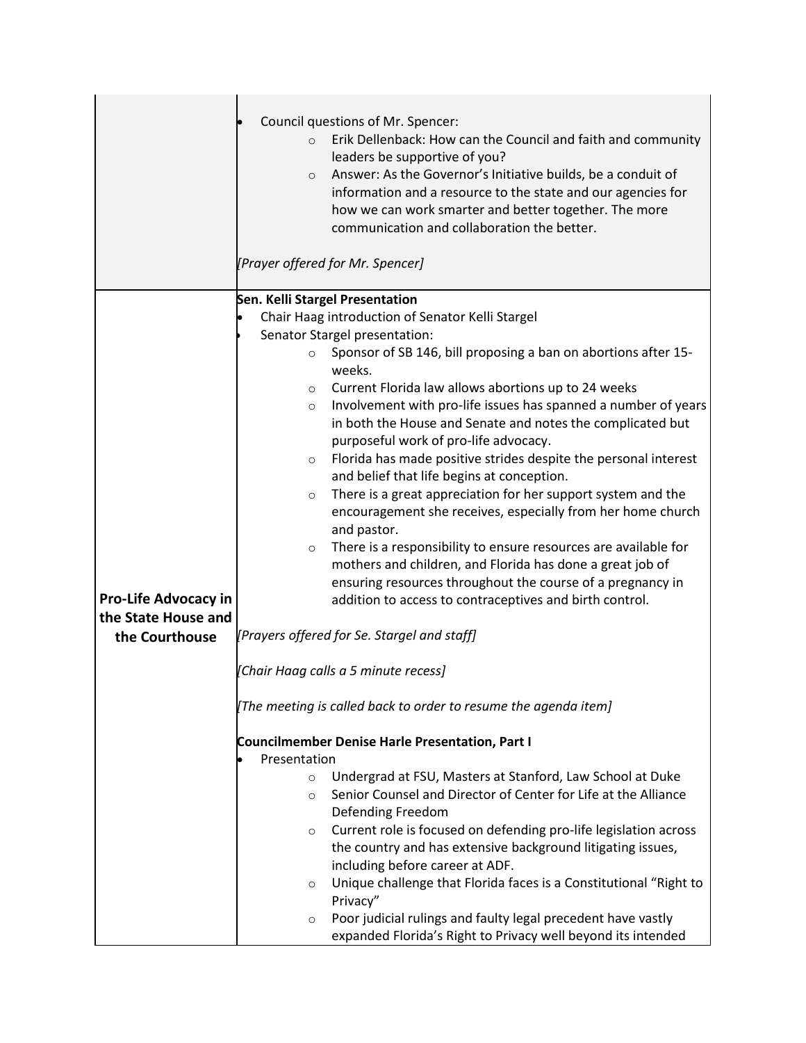|                                                                      | Council questions of Mr. Spencer:<br>Erik Dellenback: How can the Council and faith and community<br>$\circ$<br>leaders be supportive of you?<br>Answer: As the Governor's Initiative builds, be a conduit of<br>$\circ$<br>information and a resource to the state and our agencies for<br>how we can work smarter and better together. The more<br>communication and collaboration the better.                                                                                                                                                                                                                                                                                                                                                                                                                                                                                                                                                                                                                                                                          |
|----------------------------------------------------------------------|---------------------------------------------------------------------------------------------------------------------------------------------------------------------------------------------------------------------------------------------------------------------------------------------------------------------------------------------------------------------------------------------------------------------------------------------------------------------------------------------------------------------------------------------------------------------------------------------------------------------------------------------------------------------------------------------------------------------------------------------------------------------------------------------------------------------------------------------------------------------------------------------------------------------------------------------------------------------------------------------------------------------------------------------------------------------------|
|                                                                      | [Prayer offered for Mr. Spencer]                                                                                                                                                                                                                                                                                                                                                                                                                                                                                                                                                                                                                                                                                                                                                                                                                                                                                                                                                                                                                                          |
| <b>Pro-Life Advocacy in</b><br>the State House and<br>the Courthouse | Sen. Kelli Stargel Presentation<br>Chair Haag introduction of Senator Kelli Stargel<br>Senator Stargel presentation:<br>Sponsor of SB 146, bill proposing a ban on abortions after 15-<br>$\circ$<br>weeks.<br>Current Florida law allows abortions up to 24 weeks<br>$\circ$<br>Involvement with pro-life issues has spanned a number of years<br>$\circ$<br>in both the House and Senate and notes the complicated but<br>purposeful work of pro-life advocacy.<br>Florida has made positive strides despite the personal interest<br>$\circ$<br>and belief that life begins at conception.<br>There is a great appreciation for her support system and the<br>$\circ$<br>encouragement she receives, especially from her home church<br>and pastor.<br>There is a responsibility to ensure resources are available for<br>$\circ$<br>mothers and children, and Florida has done a great job of<br>ensuring resources throughout the course of a pregnancy in<br>addition to access to contraceptives and birth control.<br>[Prayers offered for Se. Stargel and staff] |
|                                                                      | [Chair Haag calls a 5 minute recess]                                                                                                                                                                                                                                                                                                                                                                                                                                                                                                                                                                                                                                                                                                                                                                                                                                                                                                                                                                                                                                      |
|                                                                      | [The meeting is called back to order to resume the agenda item]                                                                                                                                                                                                                                                                                                                                                                                                                                                                                                                                                                                                                                                                                                                                                                                                                                                                                                                                                                                                           |
|                                                                      | <b>Councilmember Denise Harle Presentation, Part I</b>                                                                                                                                                                                                                                                                                                                                                                                                                                                                                                                                                                                                                                                                                                                                                                                                                                                                                                                                                                                                                    |
|                                                                      | Presentation                                                                                                                                                                                                                                                                                                                                                                                                                                                                                                                                                                                                                                                                                                                                                                                                                                                                                                                                                                                                                                                              |
|                                                                      | Undergrad at FSU, Masters at Stanford, Law School at Duke<br>$\circ$<br>Senior Counsel and Director of Center for Life at the Alliance<br>$\circ$<br>Defending Freedom<br>Current role is focused on defending pro-life legislation across<br>$\circ$<br>the country and has extensive background litigating issues,                                                                                                                                                                                                                                                                                                                                                                                                                                                                                                                                                                                                                                                                                                                                                      |
|                                                                      | including before career at ADF.<br>Unique challenge that Florida faces is a Constitutional "Right to<br>$\circ$<br>Privacy"                                                                                                                                                                                                                                                                                                                                                                                                                                                                                                                                                                                                                                                                                                                                                                                                                                                                                                                                               |
|                                                                      | Poor judicial rulings and faulty legal precedent have vastly<br>$\circ$<br>expanded Florida's Right to Privacy well beyond its intended                                                                                                                                                                                                                                                                                                                                                                                                                                                                                                                                                                                                                                                                                                                                                                                                                                                                                                                                   |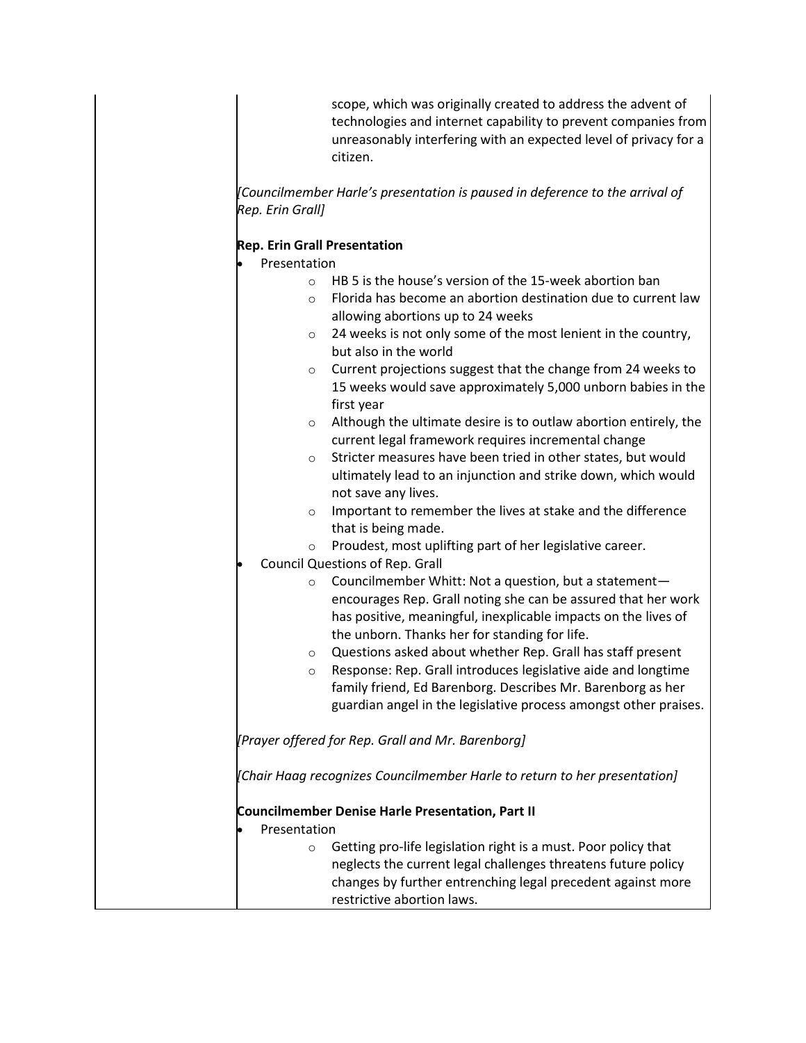scope, which was originally created to address the advent of technologies and internet capability to prevent companies from unreasonably interfering with an expected level of privacy for a citizen.

*[Councilmember Harle's presentation is paused in deference to the arrival of Rep. Erin Grall]*

## **Rep. Erin Grall Presentation**

Presentation

- o HB 5 is the house's version of the 15-week abortion ban
- o Florida has become an abortion destination due to current law allowing abortions up to 24 weeks
- o 24 weeks is not only some of the most lenient in the country, but also in the world
- o Current projections suggest that the change from 24 weeks to 15 weeks would save approximately 5,000 unborn babies in the first year
- o Although the ultimate desire is to outlaw abortion entirely, the current legal framework requires incremental change
- o Stricter measures have been tried in other states, but would ultimately lead to an injunction and strike down, which would not save any lives.
- o Important to remember the lives at stake and the difference that is being made.
- o Proudest, most uplifting part of her legislative career.

Council Questions of Rep. Grall

- o Councilmember Whitt: Not a question, but a statement encourages Rep. Grall noting she can be assured that her work has positive, meaningful, inexplicable impacts on the lives of the unborn. Thanks her for standing for life.
- o Questions asked about whether Rep. Grall has staff present
- o Response: Rep. Grall introduces legislative aide and longtime family friend, Ed Barenborg. Describes Mr. Barenborg as her guardian angel in the legislative process amongst other praises.

*[Prayer offered for Rep. Grall and Mr. Barenborg]*

*[Chair Haag recognizes Councilmember Harle to return to her presentation]*

**Councilmember Denise Harle Presentation, Part II**

- Presentation
	- o Getting pro-life legislation right is a must. Poor policy that neglects the current legal challenges threatens future policy changes by further entrenching legal precedent against more restrictive abortion laws.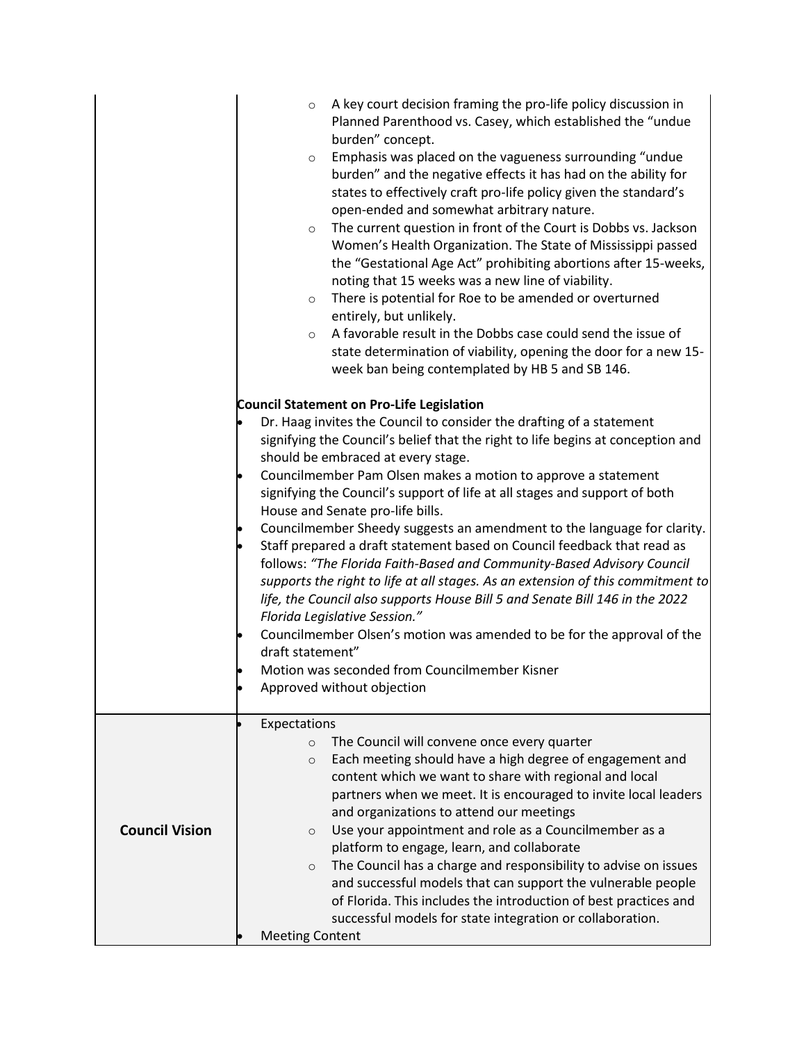|                       | A key court decision framing the pro-life policy discussion in<br>$\circ$<br>Planned Parenthood vs. Casey, which established the "undue<br>burden" concept.<br>Emphasis was placed on the vagueness surrounding "undue<br>$\circ$<br>burden" and the negative effects it has had on the ability for<br>states to effectively craft pro-life policy given the standard's<br>open-ended and somewhat arbitrary nature.<br>The current question in front of the Court is Dobbs vs. Jackson<br>$\circ$<br>Women's Health Organization. The State of Mississippi passed<br>the "Gestational Age Act" prohibiting abortions after 15-weeks,<br>noting that 15 weeks was a new line of viability.<br>There is potential for Roe to be amended or overturned<br>$\circ$<br>entirely, but unlikely.<br>A favorable result in the Dobbs case could send the issue of<br>$\circ$<br>state determination of viability, opening the door for a new 15-<br>week ban being contemplated by HB 5 and SB 146.                                                          |
|-----------------------|-------------------------------------------------------------------------------------------------------------------------------------------------------------------------------------------------------------------------------------------------------------------------------------------------------------------------------------------------------------------------------------------------------------------------------------------------------------------------------------------------------------------------------------------------------------------------------------------------------------------------------------------------------------------------------------------------------------------------------------------------------------------------------------------------------------------------------------------------------------------------------------------------------------------------------------------------------------------------------------------------------------------------------------------------------|
|                       | <b>Council Statement on Pro-Life Legislation</b><br>Dr. Haag invites the Council to consider the drafting of a statement<br>signifying the Council's belief that the right to life begins at conception and<br>should be embraced at every stage.<br>Councilmember Pam Olsen makes a motion to approve a statement<br>signifying the Council's support of life at all stages and support of both<br>House and Senate pro-life bills.<br>Councilmember Sheedy suggests an amendment to the language for clarity.<br>Staff prepared a draft statement based on Council feedback that read as<br>follows: "The Florida Faith-Based and Community-Based Advisory Council<br>supports the right to life at all stages. As an extension of this commitment to<br>life, the Council also supports House Bill 5 and Senate Bill 146 in the 2022<br>Florida Legislative Session."<br>Councilmember Olsen's motion was amended to be for the approval of the<br>draft statement"<br>Motion was seconded from Councilmember Kisner<br>Approved without objection |
| <b>Council Vision</b> | Expectations<br>The Council will convene once every quarter<br>$\circ$<br>Each meeting should have a high degree of engagement and<br>$\circ$<br>content which we want to share with regional and local<br>partners when we meet. It is encouraged to invite local leaders<br>and organizations to attend our meetings<br>Use your appointment and role as a Councilmember as a<br>$\circ$<br>platform to engage, learn, and collaborate<br>The Council has a charge and responsibility to advise on issues<br>$\circ$<br>and successful models that can support the vulnerable people<br>of Florida. This includes the introduction of best practices and<br>successful models for state integration or collaboration.<br><b>Meeting Content</b>                                                                                                                                                                                                                                                                                                     |